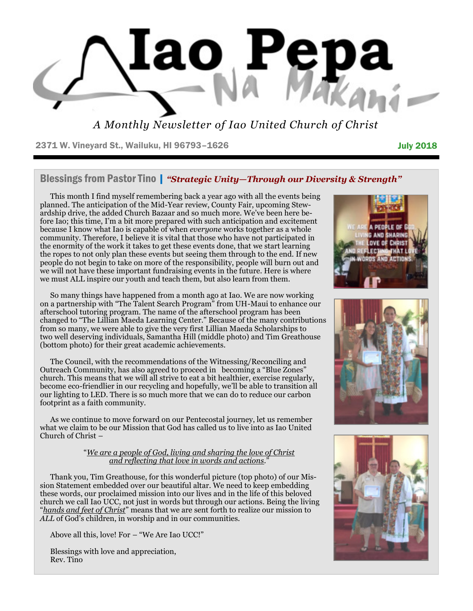

*A Monthly Newsletter of Iao United Church of Christ*

2371 W. Vineyard St., Wailuku, HI 96793-1626 **July 2018** July 2018

#### Blessings from Pastor Tino | *"Strategic Unity—Through our Diversity & Strength"*

This month I find myself remembering back a year ago with all the events being planned. The anticipation of the Mid-Year review, County Fair, upcoming Stewardship drive, the added Church Bazaar and so much more. We've been here before Iao; this time, I'm a bit more prepared with such anticipation and excitement because I know what Iao is capable of when *everyone* works together as a whole community. Therefore, I believe it is vital that those who have not participated in the enormity of the work it takes to get these events done, that we start learning the ropes to not only plan these events but seeing them through to the end. If new people do not begin to take on more of the responsibility, people will burn out and we will not have these important fundraising events in the future. Here is where we must ALL inspire our youth and teach them, but also learn from them.

So many things have happened from a month ago at Iao. We are now working on a partnership with "The Talent Search Program" from UH-Maui to enhance our afterschool tutoring program. The name of the afterschool program has been changed to "The Lillian Maeda Learning Center." Because of the many contributions from so many, we were able to give the very first Lillian Maeda Scholarships to two well deserving individuals, Samantha Hill (middle photo) and Tim Greathouse (bottom photo) for their great academic achievements.

The Council, with the recommendations of the Witnessing/Reconciling and Outreach Community, has also agreed to proceed in becoming a "Blue Zones" church. This means that we will all strive to eat a bit healthier, exercise regularly, become eco-friendlier in our recycling and hopefully, we'll be able to transition all our lighting to LED. There is so much more that we can do to reduce our carbon footprint as a faith community.

As we continue to move forward on our Pentecostal journey, let us remember what we claim to be our Mission that God has called us to live into as Iao United Church of Christ –

#### "*We are a people of God, living and sharing the love of Christ and reflecting that love in words and actions.*"

Thank you, Tim Greathouse, for this wonderful picture (top photo) of our Mission Statement embedded over our beautiful altar. We need to keep embedding these words, our proclaimed mission into our lives and in the life of this beloved church we call Iao UCC, not just in words but through our actions. Being the living "*hands and feet of Christ*" means that we are sent forth to realize our mission to *ALL* of God's children, in worship and in our communities.

Above all this, love! For – "We Are Iao UCC!"

Blessings with love and appreciation, Rev. Tino





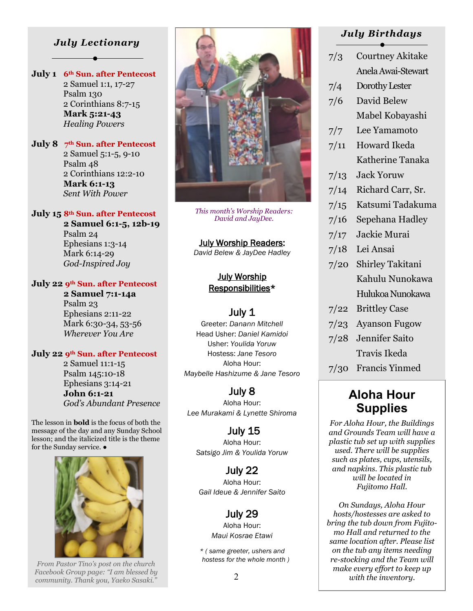### *July Lectionary*

**July 1 6th Sun. after Pentecost** 2 Samuel 1:1, 17-27 Psalm 130 2 Corinthians 8:7-15  **Mark 5:21-43** *Healing Powers*

**July 8 7th Sun. after Pentecost** 2 Samuel 5:1-5, 9-10 Psalm 48 2 Corinthians 12:2-10  **Mark 6:1-13** *Sent With Power*

#### **July 15 8th Sun. after Pentecost**

 **2 Samuel 6:1-5, 12b-19** Psalm 24 Ephesians 1:3-14 Mark 6:14-29 *God-Inspired Joy*

#### **July 22 9th Sun. after Pentecost**

 **2 Samuel 7:1-14a** Psalm 23 Ephesians 2:11-22 Mark 6:30-34, 53-56 *Wherever You Are*

#### **July 22 9th Sun. after Pentecost**

 2 Samuel 11:1-15 Psalm 145:10-18 Ephesians 3:14-21  **John 6:1-21** *God's Abundant Presence*

The lesson in **bold** is the focus of both the message of the day and any Sunday School lesson; and the italicized title is the theme for the Sunday service. ●



 *hostess for the whole month ) From Pastor Tino's post on the church Facebook Group page: "I am blessed by community. Thank you, Yaeko Sasaki."*



*This month's Worship Readers: David and JayDee.*

July Worship Readers: *David Belew & JayDee Hadley* 

#### July Worship Responsibilities\*

#### July 1

Greeter: *Danann Mitchell* Head Usher: *Daniel Kamidoi* Usher: *Youlida Yoruw* Hostess: *Jane Tesoro* Aloha Hour: *Maybelle Hashizume & Jane Tesoro* 

## July 8

Aloha Hour: *Lee Murakami & Lynette Shiroma* 

 July 15 Aloha Hour: *Satsigo Jim & Youlida Yoruw* 

July 22 Aloha Hour: *Gail Ideue & Jennifer Saito* 

## July 29

Aloha Hour: *Maui Kosrae Etawi* 

*\* ( same greeter, ushers and* 

#### *July Birthdays*

|                   | $\overline{\phantom{0}}$ |  |  |  |
|-------------------|--------------------------|--|--|--|
| 7/3               | <b>Courtney Akitake</b>  |  |  |  |
|                   | Anela Awai-Stewart       |  |  |  |
| 7/4               | Dorothy Lester           |  |  |  |
| 7/6               | David Belew              |  |  |  |
|                   | Mabel Kobayashi          |  |  |  |
| 7/7               | Lee Yamamoto             |  |  |  |
| 7/11              | <b>Howard Ikeda</b>      |  |  |  |
|                   | Katherine Tanaka         |  |  |  |
| 7/13              | <b>Jack Yoruw</b>        |  |  |  |
| 7/14              | Richard Carr, Sr.        |  |  |  |
| 7/15              | Katsumi Tadakuma         |  |  |  |
| 7/16              | Sepehana Hadley          |  |  |  |
| 7/17              | Jackie Murai             |  |  |  |
| 7/18              | Lei Ansai                |  |  |  |
| 7/20              | Shirley Takitani         |  |  |  |
|                   | Kahulu Nunokawa          |  |  |  |
|                   | Hulukoa Nunokawa         |  |  |  |
| 7/22              | <b>Brittley Case</b>     |  |  |  |
| 7/23              | <b>Ayanson Fugow</b>     |  |  |  |
| 7/28              | Jennifer Saito           |  |  |  |
|                   | Travis Ikeda             |  |  |  |
| 7/30              | <b>Francis Yinmed</b>    |  |  |  |
| <b>Aloha Hour</b> |                          |  |  |  |

**Supplies**

*For Aloha Hour, the Buildings and Grounds Team will have a plastic tub set up with supplies used. There will be supplies such as plates, cups, utensils, and napkins. This plastic tub will be located in Fujitomo Hall.* 

*On Sundays, Aloha Hour hosts/hostesses are asked to bring the tub down from Fujitomo Hall and returned to the same location after. Please list on the tub any items needing re-stocking and the Team will make every effort to keep up with the inventory.*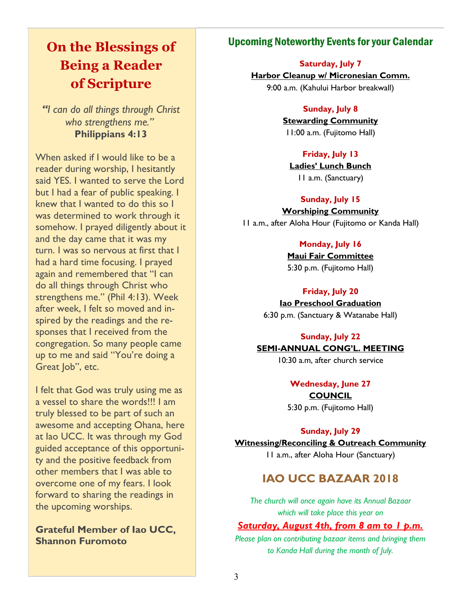# **On the Blessings of Being a Reader of Scripture**

*"I can do all things through Christ who strengthens me."*  **Philippians 4:13**

When asked if I would like to be a reader during worship, I hesitantly said YES. I wanted to serve the Lord but I had a fear of public speaking. I knew that I wanted to do this so I was determined to work through it somehow. I prayed diligently about it and the day came that it was my turn. I was so nervous at first that I had a hard time focusing. I prayed again and remembered that "I can do all things through Christ who strengthens me." (Phil 4:13). Week after week, I felt so moved and inspired by the readings and the responses that I received from the congregation. So many people came up to me and said "You're doing a Great Job", etc.

I felt that God was truly using me as a vessel to share the words!!! I am truly blessed to be part of such an awesome and accepting Ohana, here at Iao UCC. It was through my God guided acceptance of this opportunity and the positive feedback from other members that I was able to overcome one of my fears. I look forward to sharing the readings in the upcoming worships.

**Grateful Member of Iao UCC, Shannon Furomoto** 

## Upcoming Noteworthy Events for your Calendar

#### **Saturday, July 7**

**Harbor Cleanup w/ Micronesian Comm.** 9:00 a.m. (Kahului Harbor breakwall)

#### **Sunday, July 8**

**Stewarding Community** 11:00 a.m. (Fujitomo Hall)

#### **Friday, July 13**

**Ladies' Lunch Bunch** 11 a.m. (Sanctuary)

#### **Sunday, July 15**

**Worshiping Community** 11 a.m., after Aloha Hour (Fujitomo or Kanda Hall)

#### **Monday, July 16**

**Maui Fair Committee** 5:30 p.m. (Fujitomo Hall)

#### **Friday, July 20**

**Iao Preschool Graduation** 6:30 p.m. (Sanctuary & Watanabe Hall)

#### **Sunday, July 22**

#### **SEMI-ANNUAL CONG'L. MEETING**

10:30 a.m, after church service

**Wednesday, June 27 COUNCIL** 5:30 p.m. (Fujitomo Hall)

#### **Sunday, July 29**

**Witnessing/Reconciling & Outreach Community**

11 a.m., after Aloha Hour (Sanctuary)

## **IAO UCC BAZAAR 2018**

*The church will once again have its Annual Bazaar which will take place this year on* 

#### *Saturday, August 4th, from 8 am to 1 p.m.*

*Please plan on contributing bazaar items and bringing them to Kanda Hall during the month of July.*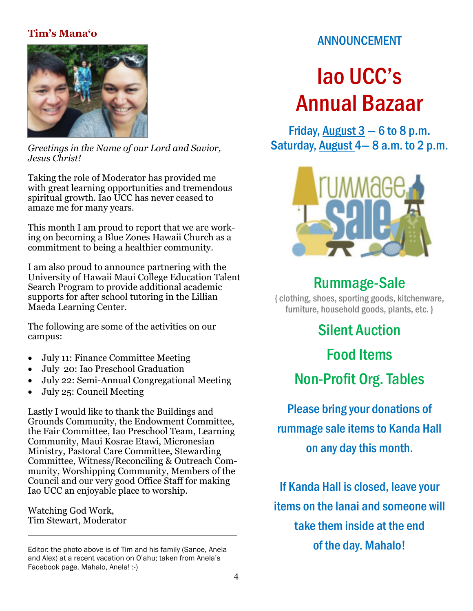# **Tim's Mana'o**



*Greetings in the Name of our Lord and Savior, Jesus Christ!*

Taking the role of Moderator has provided me with great learning opportunities and tremendous spiritual growth. Iao UCC has never ceased to amaze me for many years.

This month I am proud to report that we are working on becoming a Blue Zones Hawaii Church as a commitment to being a healthier community.

I am also proud to announce partnering with the University of Hawaii Maui College Education Talent Search Program to provide additional academic supports for after school tutoring in the Lillian Maeda Learning Center.

The following are some of the activities on our campus:

- July 11: Finance Committee Meeting
- July 20: Iao Preschool Graduation
- July 22: Semi-Annual Congregational Meeting
- July 25: Council Meeting

Lastly I would like to thank the Buildings and Grounds Community, the Endowment Committee, the Fair Committee, Iao Preschool Team, Learning Community, Maui Kosrae Etawi, Micronesian Ministry, Pastoral Care Committee, Stewarding Committee, Witness/Reconciling & Outreach Community, Worshipping Community, Members of the Council and our very good Office Staff for making Iao UCC an enjoyable place to worship.

Watching God Work, Tim Stewart, Moderator

Editor: the photo above is of Tim and his family (Sanoe, Anela and Alex) at a recent vacation on O'ahu; taken from Anela's Facebook page. Mahalo, Anela! :-)

# ANNOUNCEMENT

# Iao UCC's Annual Bazaar

Friday, August  $3 - 6$  to 8 p.m. Saturday, August 4— 8 a.m. to 2 p.m.



# Rummage-Sale

{ clothing, shoes, sporting goods, kitchenware, furniture, household goods, plants, etc. }

> Silent Auction Food Items Non-Profit Org. Tables

Please bring your donations of rummage sale items to Kanda Hall on any day this month.

If Kanda Hall is closed, leave your items on the lanai and someone will take them inside at the end of the day. Mahalo!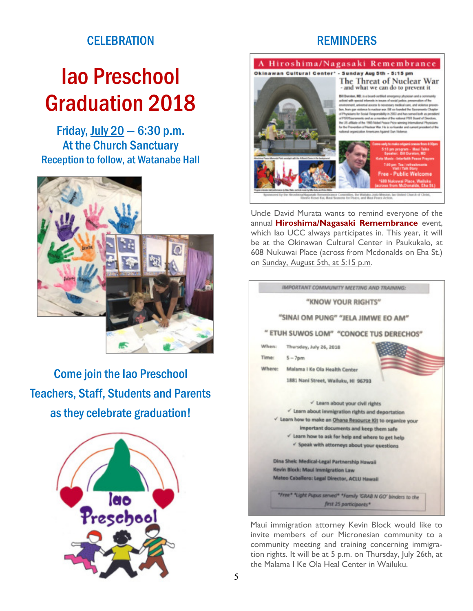# **CELEBRATION**

# Iao Preschool Graduation 2018

Friday, July  $20 - 6:30$  p.m. At the Church Sanctuary Reception to follow, at Watanabe Hall



Come join the Iao Preschool Teachers, Staff, Students and Parents as they celebrate graduation!



# **REMINDERS**





Uncle David Murata wants to remind everyone of the annual **Hiroshima/Nagasaki Remembrance** event, which Iao UCC always participates in. This year, it will be at the Okinawan Cultural Center in Paukukalo, at 608 Nukuwai Place (across from Mcdonalds on Eha St.) on Sunday, August 5th, at 5:15 p.m.



Maui immigration attorney Kevin Block would like to invite members of our Micronesian community to a community meeting and training concerning immigration rights. It will be at 5 p.m. on Thursday, July 26th, at the Malama I Ke Ola Heal Center in Wailuku.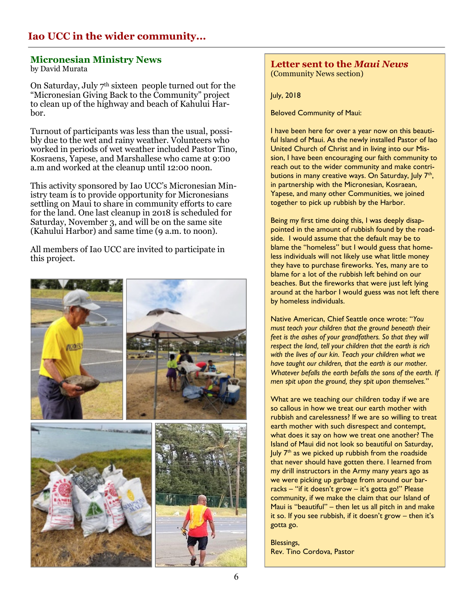# **Iao UCC in the wider community...**

#### **Micronesian Ministry News**

by David Murata

On Saturday, July 7th sixteen people turned out for the "Micronesian Giving Back to the Community" project to clean up of the highway and beach of Kahului Harbor.

Turnout of participants was less than the usual, possibly due to the wet and rainy weather. Volunteers who worked in periods of wet weather included Pastor Tino, Kosraens, Yapese, and Marshallese who came at 9:00 a.m and worked at the cleanup until 12:00 noon.

This activity sponsored by Iao UCC's Micronesian Ministry team is to provide opportunity for Micronesians settling on Maui to share in community efforts to care for the land. One last cleanup in 2018 is scheduled for Saturday, November 3, and will be on the same site (Kahului Harbor) and same time (9 a.m. to noon).

All members of Iao UCC are invited to participate in this project.



#### **Letter sent to the** *Maui News*  (Community News section)

July, 2018

Beloved Community of Maui:

I have been here for over a year now on this beautiful Island of Maui. As the newly installed Pastor of Iao United Church of Christ and in living into our Mission, I have been encouraging our faith community to reach out to the wider community and make contributions in many creative ways. On Saturday, July 7<sup>th</sup>, in partnership with the Micronesian, Kosraean, Yapese, and many other Communities, we joined together to pick up rubbish by the Harbor.

Being my first time doing this, I was deeply disappointed in the amount of rubbish found by the roadside. I would assume that the default may be to blame the "homeless" but I would guess that homeless individuals will not likely use what little money they have to purchase fireworks. Yes, many are to blame for a lot of the rubbish left behind on our beaches. But the fireworks that were just left lying around at the harbor I would guess was not left there by homeless individuals.

Native American, Chief Seattle once wrote: "*You must teach your children that the ground beneath their feet is the ashes of your grandfathers. So that they will respect the land, tell your children that the earth is rich with the lives of our kin. Teach your children what we have taught our children, that the earth is our mother. Whatever befalls the earth befalls the sons of the earth. If men spit upon the ground, they spit upon themselves.*"

What are we teaching our children today if we are so callous in how we treat our earth mother with rubbish and carelessness? If we are so willing to treat earth mother with such disrespect and contempt, what does it say on how we treat one another? The Island of Maui did not look so beautiful on Saturday, July  $7<sup>th</sup>$  as we picked up rubbish from the roadside that never should have gotten there. I learned from my drill instructors in the Army many years ago as we were picking up garbage from around our barracks – "if it doesn't grow – it's gotta go!" Please community, if we make the claim that our Island of Maui is "beautiful" – then let us all pitch in and make it so. If you see rubbish, if it doesn't grow – then it's gotta go.

Blessings, Rev. Tino Cordova, Pastor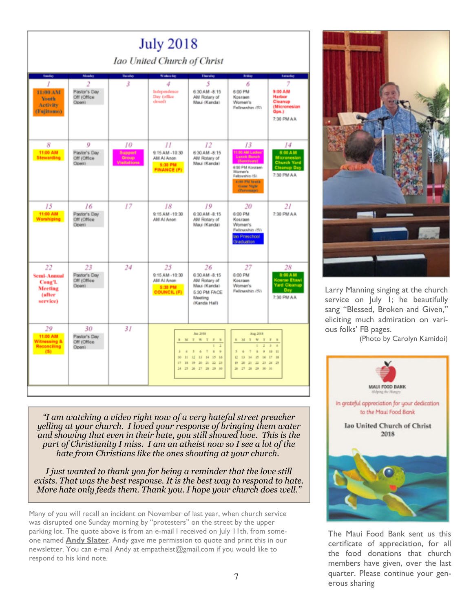| <b>July 2018</b><br>Iao United Church of Christ                            |                                             |                                       |                                                                    |                                                                                                                                                  |                                                                                                                                                                        |                                                                                               |  |
|----------------------------------------------------------------------------|---------------------------------------------|---------------------------------------|--------------------------------------------------------------------|--------------------------------------------------------------------------------------------------------------------------------------------------|------------------------------------------------------------------------------------------------------------------------------------------------------------------------|-----------------------------------------------------------------------------------------------|--|
|                                                                            | Monday                                      |                                       |                                                                    |                                                                                                                                                  |                                                                                                                                                                        |                                                                                               |  |
| <b>Sunday</b><br>11:00 AM<br><b>Youth</b><br><b>Activity</b><br>(Fujitomo) | 2<br>Pastor's Day<br>Off (Office)<br>Open)  | <b>Tereda</b><br>3                    | Wednesday<br>4<br>Independence<br>Day (office)<br>closed)          | Therefor<br>5<br>6:30 AM -8:15<br>AM Rotary of<br>Maui (Kanda)                                                                                   | Friday<br>6<br>6:00 PM<br>Kosraan<br>Women's<br>Fellowship (S)                                                                                                         | <b>Saturday</b><br>MA 00:8<br><b>Harbor</b><br>Cleanup<br>(Micronesian<br>Gps.)<br>7:30 PM AA |  |
| 8<br>11:00 AM<br><b>Stewarding</b>                                         | 0<br>Pastor's Day<br>Off (Office)<br>Open)  | 10<br>Support<br>Group<br>Visitations | П<br>9:15 AM -10:30<br>AM AI Anon<br>5:30 PM<br><b>FINANCE (F)</b> | 12<br>6:30 AM -8:15<br>AM Rotary of<br>Maui (Kanda)                                                                                              | 13<br>11:00 AM Ladies<br><b>Lunch Bunch</b><br>[Banchawy]<br>6:00 PM Kosraen<br>Women's<br>Fallowship (S)<br><b>G-BO PM Touth</b><br>Game Night<br>(Parsonage)         | 14<br>8:00 AM<br>Nicronesia<br>hurch Yard<br>eanup D<br>7:30 PM AA                            |  |
| 15<br>11:00 AM<br><b>Worshiping</b>                                        | 16<br>Pastor's Day<br>Off (Office)<br>Open) | 17                                    | 18<br>9:15 AM -10:30<br>AM AI Anon                                 | 19<br>6:30 AM -8:15<br>AM Rotary of<br>Maui (Kanda)                                                                                              | 20<br>6:00 PM<br>Kesraen<br>Women's<br>Fellowship (S)<br>Ian Preschool<br>Graduation                                                                                   | 21<br>7:30 PM AA                                                                              |  |
| 22<br>Semi-Annual<br>Cong'l.<br>Meeting<br>(after<br>service)              | 23<br>Pastor's Day<br>Off (Office)<br>Open) | 24                                    | 25<br>9:15 AM -10:30<br>AM AI Anon<br>5:30 PM<br>COUNCIL (F)       | 26<br>6:30 AM -8:15<br>AM Rotary of<br>Maui (Kanda)<br>5:30 PM FACE<br>Meeting<br>(Kanda Hall)                                                   | 27<br>6:00 PM<br>Kosraen<br>Women's<br>Fellowship (S)                                                                                                                  | 28<br>8:00 AM<br><u>(osrae Etawi</u><br><b>Yard Cleanup</b><br>Day<br>7:30 PM AA              |  |
| 29<br>11:00 AM<br>Witnessing &<br>Reconciling<br>(51)                      | 30<br>Pastor's Day<br>Off (Office)<br>Openi | 31                                    | M<br>×<br>×<br>$\overline{a}$<br>W.<br>$\mathbf{H}$<br><b>IT</b>   | Jun 2018<br>TWT<br>F 8<br>ż<br>ł.<br>×<br>$\ddot{v}$<br>3<br>di.<br>٠<br>12<br>15<br>16<br>13<br>14<br>18 19 20 21 22 23<br>24 25 26 27 28 29 30 | Aug 2018<br>TWT<br>s.<br>51<br>'n.<br>×<br>$\mathbf{r}$<br>$\frac{1}{2}$<br>s<br>ä<br>٠<br>Œ<br>15<br>13 14<br>BE.<br>tii.<br>20 21 22 23 24 25<br>27 28 29 30 31<br>× | F 8<br>×<br>×<br>$10 - 11$<br>17 18                                                           |  |

*"I am watching a video right now of a very hateful street preacher yelling at your church. I loved your response of bringing them water and showing that even in their hate, you still showed love. This is the part of Christianity I miss. I am an atheist now so I see a lot of the hate from Christians like the ones shouting at your church.*

*I just wanted to thank you for being a reminder that the love still exists. That was the best response. It is the best way to respond to hate. More hate only feeds them. Thank you. I hope your church does well."*

Many of you will recall an incident on November of last year, when church service was disrupted one Sunday morning by "protesters" on the street by the upper parking lot. The quote above is from an e-mail I received on July 11th, from someone named **Andy Slater**. Andy gave me permission to quote and print this in our newsletter. You can e-mail Andy at empatheist@gmail.com if you would like to respond to his kind note.



Larry Manning singing at the church service on July 1; he beautifully sang "Blessed, Broken and Given," eliciting much admiration on various folks' FB pages.

(Photo by Carolyn Kamidoi)



The Maui Food Bank sent us this certificate of appreciation, for all the food donations that church members have given, over the last quarter. Please continue your generous sharing